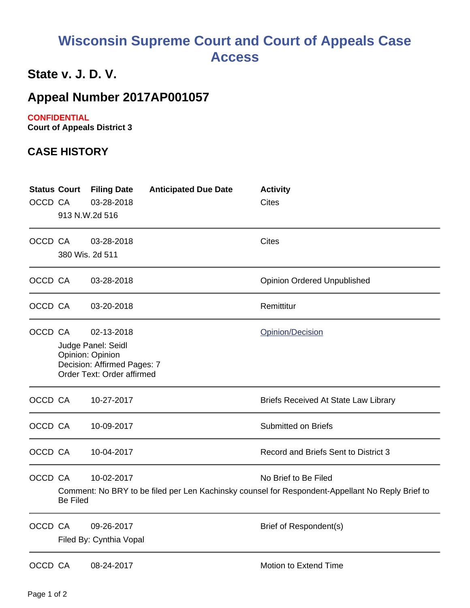# **Wisconsin Supreme Court and Court of Appeals Case Access**

## **State v. J. D. V.**

## **Appeal Number 2017AP001057**

### **CONFIDENTIAL**

**Court of Appeals District 3**

## **CASE HISTORY**

| OCCD CA | <b>Status Court</b><br>913 N.W.2d 516 | <b>Filing Date</b><br>03-28-2018                                                                                  | <b>Anticipated Due Date</b> | <b>Activity</b><br><b>Cites</b>                                                                                          |
|---------|---------------------------------------|-------------------------------------------------------------------------------------------------------------------|-----------------------------|--------------------------------------------------------------------------------------------------------------------------|
| OCCD CA | 380 Wis. 2d 511                       | 03-28-2018                                                                                                        |                             | <b>Cites</b>                                                                                                             |
| OCCD CA |                                       | 03-28-2018                                                                                                        |                             | <b>Opinion Ordered Unpublished</b>                                                                                       |
| OCCD CA |                                       | 03-20-2018                                                                                                        |                             | Remittitur                                                                                                               |
| OCCD CA |                                       | 02-13-2018<br>Judge Panel: Seidl<br>Opinion: Opinion<br>Decision: Affirmed Pages: 7<br>Order Text: Order affirmed |                             | Opinion/Decision                                                                                                         |
| OCCD CA |                                       | 10-27-2017                                                                                                        |                             | Briefs Received At State Law Library                                                                                     |
| OCCD CA |                                       | 10-09-2017                                                                                                        |                             | <b>Submitted on Briefs</b>                                                                                               |
| OCCD CA |                                       | 10-04-2017                                                                                                        |                             | Record and Briefs Sent to District 3                                                                                     |
| OCCD CA | <b>Be Filed</b>                       | 10-02-2017                                                                                                        |                             | No Brief to Be Filed<br>Comment: No BRY to be filed per Len Kachinsky counsel for Respondent-Appellant No Reply Brief to |
| OCCD CA |                                       | 09-26-2017<br>Filed By: Cynthia Vopal                                                                             |                             | Brief of Respondent(s)                                                                                                   |
| OCCD CA |                                       | 08-24-2017                                                                                                        |                             | Motion to Extend Time                                                                                                    |